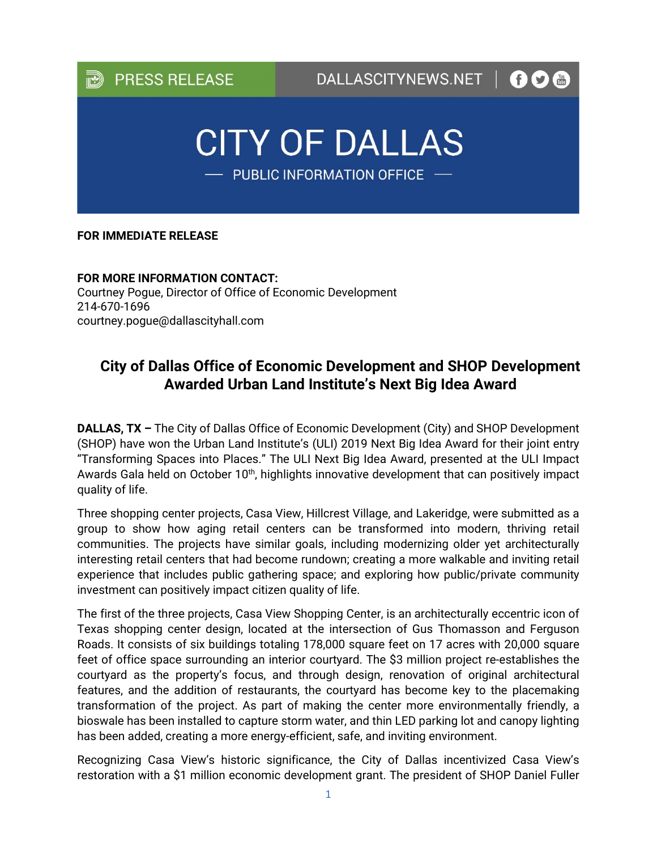

## **FOR IMMEDIATE RELEASE**

**FOR MORE INFORMATION CONTACT:**  Courtney Pogue, Director of Office of Economic Development 214-670-1696 courtney.pogue@dallascityhall.com

## **City of Dallas Office of Economic Development and SHOP Development Awarded Urban Land Institute's Next Big Idea Award**

**DALLAS, TX –** The City of Dallas Office of Economic Development (City) and SHOP Development (SHOP) have won the Urban Land Institute's (ULI) 2019 Next Big Idea Award for their joint entry "Transforming Spaces into Places." The ULI Next Big Idea Award, presented at the ULI Impact Awards Gala held on October 10<sup>th</sup>, highlights innovative development that can positively impact quality of life.

Three shopping center projects, Casa View, Hillcrest Village, and Lakeridge, were submitted as a group to show how aging retail centers can be transformed into modern, thriving retail communities. The projects have similar goals, including modernizing older yet architecturally interesting retail centers that had become rundown; creating a more walkable and inviting retail experience that includes public gathering space; and exploring how public/private community investment can positively impact citizen quality of life.

The first of the three projects, Casa View Shopping Center, is an architecturally eccentric icon of Texas shopping center design, located at the intersection of Gus Thomasson and Ferguson Roads. It consists of six buildings totaling 178,000 square feet on 17 acres with 20,000 square feet of office space surrounding an interior courtyard. The \$3 million project re-establishes the courtyard as the property's focus, and through design, renovation of original architectural features, and the addition of restaurants, the courtyard has become key to the placemaking transformation of the project. As part of making the center more environmentally friendly, a bioswale has been installed to capture storm water, and thin LED parking lot and canopy lighting has been added, creating a more energy-efficient, safe, and inviting environment.

Recognizing Casa View's historic significance, the City of Dallas incentivized Casa View's restoration with a \$1 million economic development grant. The president of SHOP Daniel Fuller